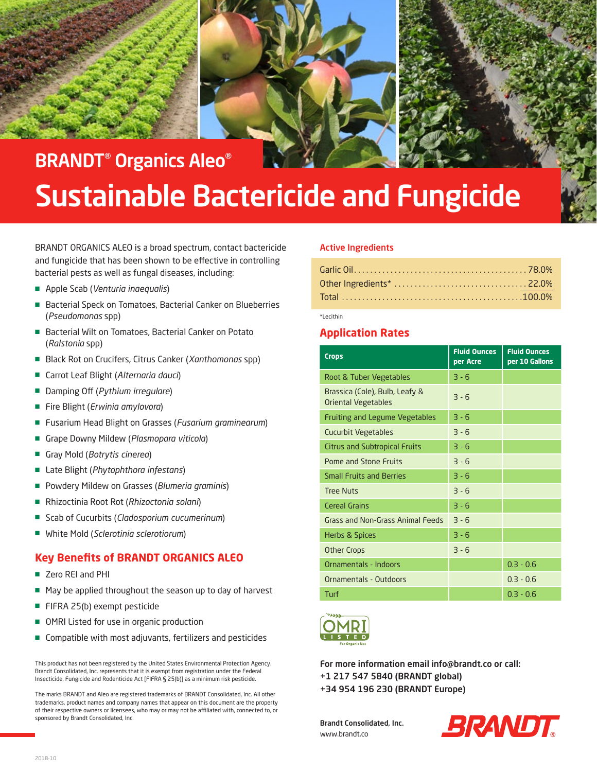



BRANDT® Organics Aleo®

# Sustainable Bactericide and Fungicide

BRANDT ORGANICS ALEO is a broad spectrum, contact bactericide and fungicide that has been shown to be effective in controlling bacterial pests as well as fungal diseases, including:

- Apple Scab (*Venturia inaequalis*)
- Bacterial Speck on Tomatoes, Bacterial Canker on Blueberries (*Pseudomonas* spp)
- Bacterial Wilt on Tomatoes, Bacterial Canker on Potato (*Ralstonia* spp)
- Black Rot on Crucifers, Citrus Canker (*Xanthomonas* spp)
- Carrot Leaf Blight (*Alternaria dauci*)
- Damping Off (*Pythium irregulare*)
- Fire Blight (*Erwinia amylovora*)
- Fusarium Head Blight on Grasses (Fusarium graminearum)
- Grape Downy Mildew (*Plasmopara viticola*)
- Gray Mold (*Botrytis cinerea*)
- Late Blight (*Phytophthora infestans*)
- Powdery Mildew on Grasses (*Blumeria graminis*)
- Rhizoctinia Root Rot (*Rhizoctonia solani*)
- Scab of Cucurbits (*Cladosporium cucumerinum*)
- White Mold (*Sclerotinia sclerotiorum*)

## **Key Benefits of BRANDT ORGANICS ALEO**

- Zero REI and PHI
- May be applied throughout the season up to day of harvest
- FIFRA 25(b) exempt pesticide
- OMRI Listed for use in organic production
- Compatible with most adjuvants, fertilizers and pesticides

This product has not been registered by the United States Environmental Protection Agency. Brandt Consolidated, Inc. represents that it is exempt from registration under the Federal Insecticide, Fungicide and Rodenticide Act [FIFRA § 25(b)] as a minimum risk pesticide.

The marks BRANDT and Aleo are registered trademarks of BRANDT Consolidated, Inc. All other trademarks, product names and company names that appear on this document are the property of their respective owners or licensees, who may or may not be affiliated with, connected to, or sponsored by Brandt Consolidated, Inc.

#### Active Ingredients

\*Lecithin

## **Application Rates**

| <b>Crops</b>                                                 | <b>Fluid Ounces</b><br>per Acre | <b>Fluid Ounces</b><br>per 10 Gallons |
|--------------------------------------------------------------|---------------------------------|---------------------------------------|
| Root & Tuber Vegetables                                      | $3 - 6$                         |                                       |
| Brassica (Cole), Bulb, Leafy &<br><b>Oriental Vegetables</b> | $3 - 6$                         |                                       |
| <b>Fruiting and Legume Vegetables</b>                        | $3 - 6$                         |                                       |
| <b>Cucurbit Vegetables</b>                                   | $3 - 6$                         |                                       |
| <b>Citrus and Subtropical Fruits</b>                         | $3 - 6$                         |                                       |
| Pome and Stone Fruits                                        | $3 - 6$                         |                                       |
| <b>Small Fruits and Berries</b>                              | $3 - 6$                         |                                       |
| <b>Tree Nuts</b>                                             | $3 - 6$                         |                                       |
| <b>Cereal Grains</b>                                         | $3 - 6$                         |                                       |
| Grass and Non-Grass Animal Feeds                             | $3 - 6$                         |                                       |
| Herbs & Spices                                               | $3 - 6$                         |                                       |
| <b>Other Crops</b>                                           | $3 - 6$                         |                                       |
| Ornamentals - Indoors                                        |                                 | $0.3 - 0.6$                           |
| Ornamentals - Outdoors                                       |                                 | $0.3 - 0.6$                           |
| Turf                                                         |                                 | $0.3 - 0.6$                           |



For more information email info@brandt.co or call: +1 217 547 5840 (BRANDT global) +34 954 196 230 (BRANDT Europe)

Brandt Consolidated, Inc. www.brandt.co